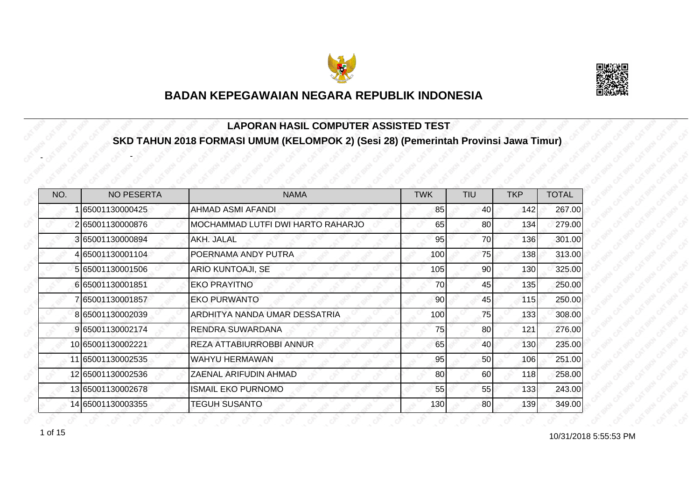



#### **LAPORAN HASIL COMPUTER ASSISTED TEST SKD TAHUN 2018 FORMASI UMUM (KELOMPOK 2) (Sesi 28) (Pemerintah Provinsi Jawa Timur)**

| NO. | <b>NO PESERTA</b> | <b>NAMA</b>                       | <b>TWK</b> | <b>TIU</b>      | <b>TKP</b> | <b>TOTAL</b> |
|-----|-------------------|-----------------------------------|------------|-----------------|------------|--------------|
|     | 65001130000425    | <b>AHMAD ASMI AFANDI</b>          | 85         | 40 <sub>l</sub> | 142        | 267.00       |
|     | 265001130000876   | MOCHAMMAD LUTFI DWI HARTO RAHARJO | 65         | 80              | 134        | 279.00       |
|     | 3 65001130000894  | AKH. JALAL                        | 95         | 70              | 136        | 301.00       |
|     | 4 65001130001104  | POERNAMA ANDY PUTRA               | 100        | 75              | 138        | 313.00       |
|     | 5 65001130001506  | <b>ARIO KUNTOAJI, SE</b>          | 105        | 90              | 130        | 325.00       |
|     | 665001130001851   | <b>EKO PRAYITNO</b>               | 70         | 45              | 135        | 250.00       |
|     | 7 65001130001857  | <b>EKO PURWANTO</b>               | 90         | 45              | 115        | 250.00       |
|     | 8 65001130002039  | ARDHITYA NANDA UMAR DESSATRIA     | 100        | 75              | 133        | 308.00       |
|     | 9 65001130002174  | RENDRA SUWARDANA                  | 75         | 80              | 121        | 276.00       |
|     | 10 65001130002221 | <b>REZA ATTABIURROBBI ANNUR</b>   | 65         | 40              | 130        | 235.00       |
|     | 11 65001130002535 | <b>WAHYU HERMAWAN</b>             | 95         | 50              | 106        | 251.00       |
|     | 12 65001130002536 | ZAENAL ARIFUDIN AHMAD             | 80         | 60              | 118        | 258.00       |
|     | 13 65001130002678 | <b>ISMAIL EKO PURNOMO</b>         | 55         | 55              | 133        | 243.00       |
|     | 14 65001130003355 | <b>TEGUH SUSANTO</b>              | 130        | 80              | 139        | 349.00       |

 $1 \text{ of } 15$   $10/31/2018$  5:55:53 PM

-

-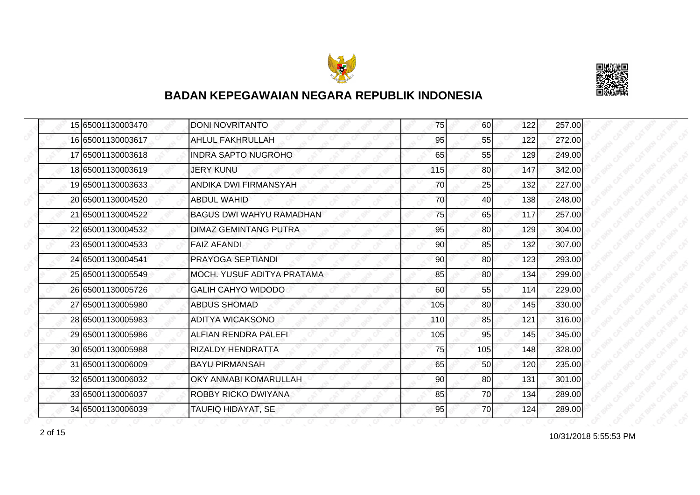



|  | 15 65001130003470 | <b>DONI NOVRITANTO</b>          | 75  | 60  | 122 | 257.00 |
|--|-------------------|---------------------------------|-----|-----|-----|--------|
|  | 16 65001130003617 | <b>AHLUL FAKHRULLAH</b>         | 95  | 55  | 122 | 272.00 |
|  | 17 65001130003618 | <b>INDRA SAPTO NUGROHO</b>      | 65  | 55  | 129 | 249.00 |
|  | 18 65001130003619 | <b>JERY KUNU</b>                | 115 | 80  | 147 | 342.00 |
|  | 19 65001130003633 | ANDIKA DWI FIRMANSYAH           | 70  | 25  | 132 | 227.00 |
|  | 20165001130004520 | ABDUL WAHID                     | 70  | 40  | 138 | 248.00 |
|  | 21 65001130004522 | <b>BAGUS DWI WAHYU RAMADHAN</b> | 75  | 65  | 117 | 257.00 |
|  | 22 65001130004532 | <b>DIMAZ GEMINTANG PUTRA</b>    | 95  | 80  | 129 | 304.00 |
|  | 23 65001130004533 | <b>FAIZ AFANDI</b>              | 90  | 85  | 132 | 307.00 |
|  | 24 65001130004541 | PRAYOGA SEPTIANDI               | 90  | 80  | 123 | 293.00 |
|  | 25 65001130005549 | MOCH. YUSUF ADITYA PRATAMA      | 85  | 80  | 134 | 299.00 |
|  | 26 65001130005726 | <b>GALIH CAHYO WIDODO</b>       | 60  | 55  | 114 | 229.00 |
|  | 27 65001130005980 | <b>ABDUS SHOMAD</b>             | 105 | 80  | 145 | 330.00 |
|  | 28 65001130005983 | ADITYA WICAKSONO                | 110 | 85  | 121 | 316.00 |
|  | 29 65001130005986 | ALFIAN RENDRA PALEFI            | 105 | 95  | 145 | 345.00 |
|  | 30 65001130005988 | RIZALDY HENDRATTA               | 75  | 105 | 148 | 328.00 |
|  | 31 65001130006009 | <b>BAYU PIRMANSAH</b>           | 65  | 50  | 120 | 235.00 |
|  | 32 65001130006032 | OKY ANMABI KOMARULLAH           | 90  | 80  | 131 | 301.00 |
|  | 33 65001130006037 | ROBBY RICKO DWIYANA             | 85  | 70  | 134 | 289.00 |
|  | 34 65001130006039 | TAUFIQ HIDAYAT, SE              | 95  | 70  | 124 | 289.00 |

10/31/2018 5:55:53 PM 2 of 15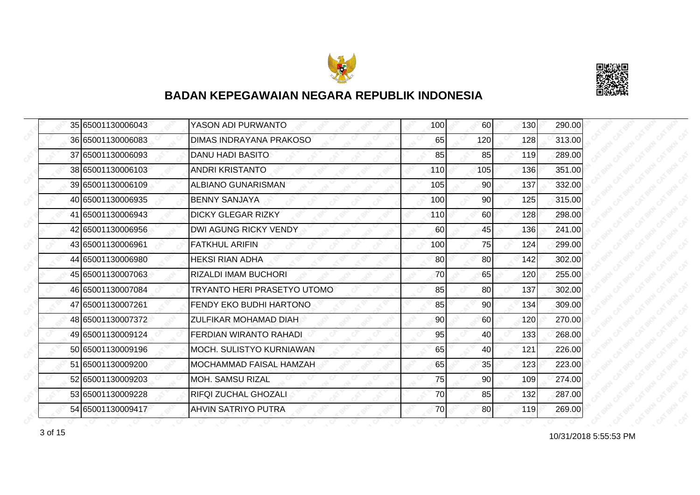



|  | 35 65001130006043 | YASON ADI PURWANTO              | 100 | 60              | 130 | 290.00 |
|--|-------------------|---------------------------------|-----|-----------------|-----|--------|
|  | 36 65001130006083 | <b>DIMAS INDRAYANA PRAKOSO</b>  | 65  | 120             | 128 | 313.00 |
|  | 37 65001130006093 | <b>DANU HADI BASITO</b>         | 85  | 85              | 119 | 289.00 |
|  | 38 65001130006103 | <b>ANDRI KRISTANTO</b>          | 110 | 105             | 136 | 351.00 |
|  | 39 65001130006109 | ALBIANO GUNARISMAN              | 105 | 90 <sub>0</sub> | 137 | 332.00 |
|  | 40 65001130006935 | <b>BENNY SANJAYA</b>            | 100 | 90              | 125 | 315.00 |
|  | 41 65001130006943 | <b>DICKY GLEGAR RIZKY</b>       | 110 | 60              | 128 | 298.00 |
|  | 42 65001130006956 | DWI AGUNG RICKY VENDY           | 60  | 45              | 136 | 241.00 |
|  | 43 65001130006961 | <b>FATKHUL ARIFIN</b>           | 100 | 75              | 124 | 299.00 |
|  | 44 65001130006980 | <b>HEKSI RIAN ADHA</b>          | 80  | 80              | 142 | 302.00 |
|  | 45 65001130007063 | <b>RIZALDI IMAM BUCHORI</b>     | 70  | 65              | 120 | 255.00 |
|  | 46 65001130007084 | TRYANTO HERI PRASETYO UTOMO     | 85  | 80              | 137 | 302.00 |
|  | 47 65001130007261 | FENDY EKO BUDHI HARTONO         | 85  | 90              | 134 | 309.00 |
|  | 48 65001130007372 | ZULFIKAR MOHAMAD DIAH           | 90  | 60              | 120 | 270.00 |
|  | 49 65001130009124 | <b>FERDIAN WIRANTO RAHADI</b>   | 95  | 40              | 133 | 268.00 |
|  | 50 65001130009196 | <b>MOCH. SULISTYO KURNIAWAN</b> | 65  | 40              | 121 | 226.00 |
|  | 51 65001130009200 | <b>MOCHAMMAD FAISAL HAMZAH</b>  | 65  | 35              | 123 | 223.00 |
|  | 52165001130009203 | <b>MOH. SAMSU RIZAL</b>         | 75  | 90              | 109 | 274.00 |
|  | 53 65001130009228 | <b>RIFQI ZUCHAL GHOZALI</b>     | 70  | 85              | 132 | 287.00 |
|  | 54 65001130009417 | IAHVIN SATRIYO PUTRA            | 70  | <b>80</b>       | 119 | 269.00 |

10/31/2018 5:55:53 PM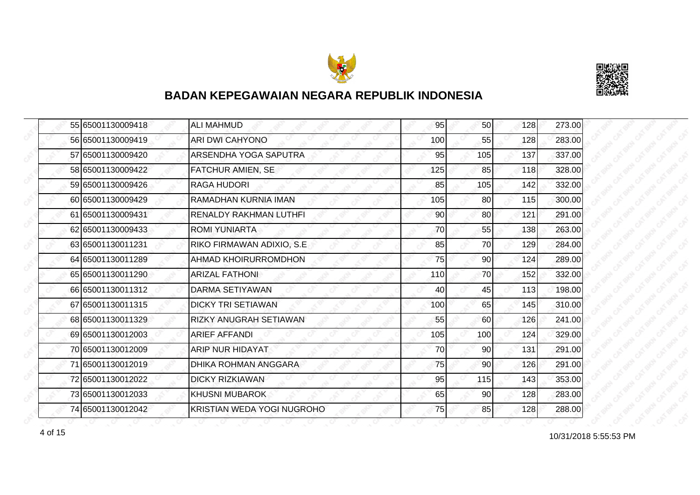



| 55 65001130009418 | <b>ALI MAHMUD</b>                 | 95  | 50              | 128 | 273.00 |
|-------------------|-----------------------------------|-----|-----------------|-----|--------|
| 56 65001130009419 | <b>ARI DWI CAHYONO</b>            | 100 | 55              | 128 | 283.00 |
| 57 65001130009420 | ARSENDHA YOGA SAPUTRA             | 95  | 105             | 137 | 337.00 |
| 58 65001130009422 | FATCHUR AMIEN, SE                 | 125 | 85              | 118 | 328.00 |
| 59 65001130009426 | <b>RAGA HUDORI</b>                | 85  | 105             | 142 | 332.00 |
| 60 65001130009429 | RAMADHAN KURNIA IMAN              | 105 | 80              | 115 | 300.00 |
| 61 65001130009431 | <b>RENALDY RAKHMAN LUTHFI</b>     | 90  | <b>80</b>       | 121 | 291.00 |
| 62 65001130009433 | <b>ROMI YUNIARTA</b>              | 70  | 55              | 138 | 263.00 |
| 63 65001130011231 | RIKO FIRMAWAN ADIXIO, S.E         | 85  | 70              | 129 | 284.00 |
| 64 65001130011289 | <b>AHMAD KHOIRURROMDHON</b>       | 75  | 90              | 124 | 289.00 |
| 65 65001130011290 | <b>ARIZAL FATHONI</b>             | 110 | 70              | 152 | 332.00 |
| 66 65001130011312 | <b>DARMA SETIYAWAN</b>            | 40  | 45              | 113 | 198.00 |
| 67 65001130011315 | <b>DICKY TRI SETIAWAN</b>         | 100 | 65              | 145 | 310.00 |
| 68 65001130011329 | <b>RIZKY ANUGRAH SETIAWAN</b>     | 55  | 60              | 126 | 241.00 |
| 69 65001130012003 | <b>ARIEF AFFANDI</b>              | 105 | 100             | 124 | 329.00 |
| 70 65001130012009 | <b>ARIP NUR HIDAYAT</b>           | 70  | 90 <sub>0</sub> | 131 | 291.00 |
| 71 65001130012019 | <b>DHIKA ROHMAN ANGGARA</b>       | 75  | 90              | 126 | 291.00 |
| 72 65001130012022 | <b>DICKY RIZKIAWAN</b>            | 95  | 115             | 143 | 353.00 |
| 73 65001130012033 | <b>KHUSNI MUBAROK</b>             | 65  | 90              | 128 | 283.00 |
| 74 65001130012042 | <b>KRISTIAN WEDA YOGI NUGROHO</b> | 75  | 85              | 128 | 288.00 |

10/31/2018 5:55:53 PM 4 of 15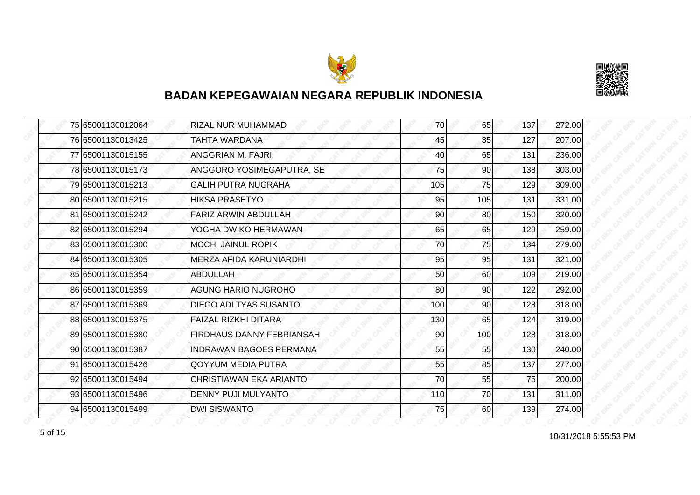



|  | 75 65001130012064 | RIZAL NUR MUHAMMAD             | 70  | 65  | 137 | 272.00 |
|--|-------------------|--------------------------------|-----|-----|-----|--------|
|  | 76 65001130013425 | TAHTA WARDANA                  | 45  | 35  | 127 | 207.00 |
|  | 77 65001130015155 | ANGGRIAN M. FAJRI              | 40  | 65  | 131 | 236.00 |
|  | 78 65001130015173 | ANGGORO YOSIMEGAPUTRA, SE      | 75  | 90  | 138 | 303.00 |
|  | 79 65001130015213 | <b>GALIH PUTRA NUGRAHA</b>     | 105 | 75  | 129 | 309.00 |
|  | 80 65001130015215 | HIKSA PRASETYO                 | 95  | 105 | 131 | 331.00 |
|  | 81 65001130015242 | <b>FARIZ ARWIN ABDULLAH</b>    | 90  | 80  | 150 | 320.00 |
|  | 82 65001130015294 | YOGHA DWIKO HERMAWAN           | 65  | 65  | 129 | 259.00 |
|  | 83 65001130015300 | <b>MOCH. JAINUL ROPIK</b>      | 70  | 75  | 134 | 279.00 |
|  | 84 65001130015305 | MERZA AFIDA KARUNIARDHI        | 95  | 95  | 131 | 321.00 |
|  | 85 65001130015354 | <b>ABDULLAH</b>                | 50  | 60  | 109 | 219.00 |
|  | 86 65001130015359 | <b>AGUNG HARIO NUGROHO</b>     | 80  | 90  | 122 | 292.00 |
|  | 87 65001130015369 | <b>DIEGO ADI TYAS SUSANTO</b>  | 100 | 90  | 128 | 318.00 |
|  | 88 65001130015375 | <b>FAIZAL RIZKHI DITARA</b>    | 130 | 65  | 124 | 319.00 |
|  | 89 65001130015380 | FIRDHAUS DANNY FEBRIANSAH      | 90  | 100 | 128 | 318.00 |
|  | 90 65001130015387 | <b>INDRAWAN BAGOES PERMANA</b> | 55  | 55  | 130 | 240.00 |
|  | 91 65001130015426 | <b>QOYYUM MEDIA PUTRA</b>      | 55  | 85  | 137 | 277.00 |
|  | 92 65001130015494 | CHRISTIAWAN EKA ARIANTO        | 70  | 55  | 75  | 200.00 |
|  | 93 65001130015496 | DENNY PUJI MULYANTO            | 110 | 70  | 131 | 311.00 |
|  | 94 65001130015499 | <b>DWI SISWANTO</b>            | 75  | 60  | 139 | 274.00 |

for the 10/31/2018 5:55:53 PM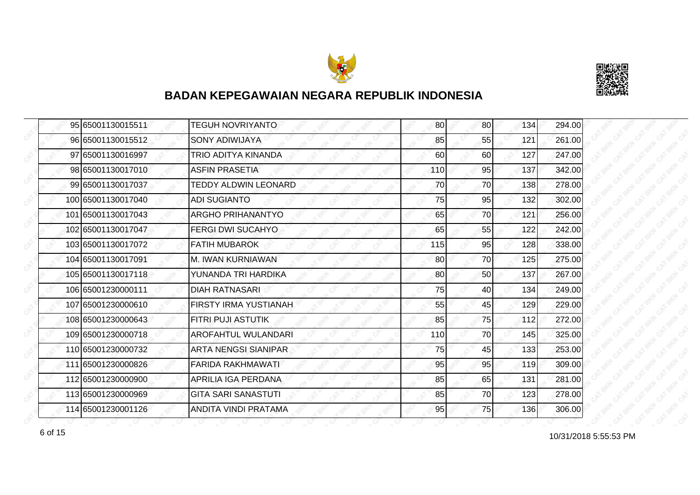



| 95 65001130015511  | <b>TEGUH NOVRIYANTO</b>     | 80  | 80 | 134 | 294.00 |
|--------------------|-----------------------------|-----|----|-----|--------|
| 96 65001130015512  | SONY ADIWIJAYA              | 85  | 55 | 121 | 261.00 |
| 97 65001130016997  | TRIO ADITYA KINANDA         | 60  | 60 | 127 | 247.00 |
| 98 65001130017010  | <b>ASFIN PRASETIA</b>       | 110 | 95 | 137 | 342.00 |
| 99 65001130017037  | <b>TEDDY ALDWIN LEONARD</b> | 70  | 70 | 138 | 278.00 |
| 100 65001130017040 | <b>ADI SUGIANTO</b>         | 75  | 95 | 132 | 302.00 |
| 101 65001130017043 | <b>ARGHO PRIHANANTYO</b>    | 65  | 70 | 121 | 256.00 |
| 102165001130017047 | <b>FERGI DWI SUCAHYO</b>    | 65  | 55 | 122 | 242.00 |
| 103 65001130017072 | <b>FATIH MUBAROK</b>        | 115 | 95 | 128 | 338.00 |
| 104 65001130017091 | M. IWAN KURNIAWAN           | 80  | 70 | 125 | 275.00 |
| 105 65001130017118 | YUNANDA TRI HARDIKA         | 80  | 50 | 137 | 267.00 |
| 106 65001230000111 | <b>DIAH RATNASARI</b>       | 75  | 40 | 134 | 249.00 |
| 107 65001230000610 | FIRSTY IRMA YUSTIANAH       | 55  | 45 | 129 | 229.00 |
| 108 65001230000643 | FITRI PUJI ASTUTIK          | 85  | 75 | 112 | 272.00 |
| 109 65001230000718 | AROFAHTUL WULANDARI         | 110 | 70 | 145 | 325.00 |
| 110 65001230000732 | <b>ARTA NENGSI SIANIPAR</b> | 75  | 45 | 133 | 253.00 |
| 111 65001230000826 | FARIDA RAKHMAWATI           | 95  | 95 | 119 | 309.00 |
| 112 65001230000900 | APRILIA IGA PERDANA         | 85  | 65 | 131 | 281.00 |
| 113 65001230000969 | <b>GITA SARI SANASTUTI</b>  | 85  | 70 | 123 | 278.00 |
| 114 65001230001126 | ANDITA VINDI PRATAMA        | 95  | 75 | 136 | 306.00 |

10/31/2018 5:55:53 PM 6 of 15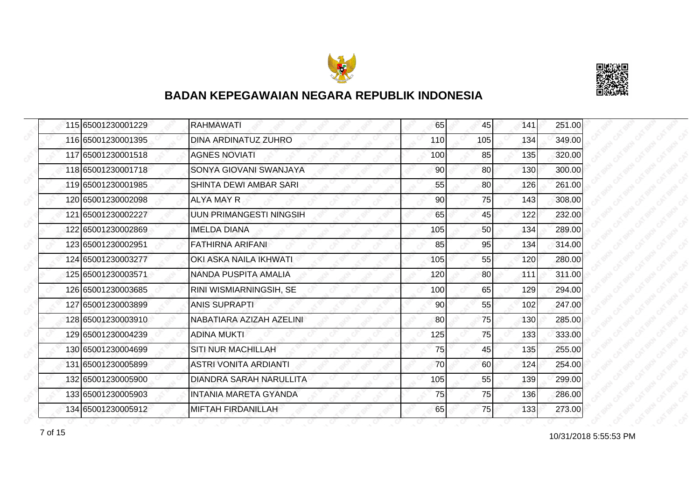



| 115 65001230001229 | <b>RAHMAWATI</b>             | 65  | 45  | 141 | 251.00 |
|--------------------|------------------------------|-----|-----|-----|--------|
| 116 65001230001395 | <b>DINA ARDINATUZ ZUHRO</b>  | 110 | 105 | 134 | 349.00 |
| 117 65001230001518 | <b>AGNES NOVIATI</b>         | 100 | 85  | 135 | 320.00 |
| 118 65001230001718 | SONYA GIOVANI SWANJAYA       | 90  | 80  | 130 | 300.00 |
| 119 65001230001985 | SHINTA DEWI AMBAR SARI       | 55  | 80  | 126 | 261.00 |
| 120 65001230002098 | ALYA MAY R                   | 90  | 75  | 143 | 308.00 |
| 121 65001230002227 | UUN PRIMANGESTI NINGSIH      | 65  | 45  | 122 | 232.00 |
| 122 65001230002869 | <b>IMELDA DIANA</b>          | 105 | 50  | 134 | 289.00 |
| 123 65001230002951 | FATHIRNA ARIFANI             | 85  | 95  | 134 | 314.00 |
| 124 65001230003277 | OKI ASKA NAILA IKHWATI       | 105 | 55  | 120 | 280.00 |
| 125 65001230003571 | <b>NANDA PUSPITA AMALIA</b>  | 120 | 80  | 111 | 311.00 |
| 126 65001230003685 | RINI WISMIARNINGSIH, SE      | 100 | 65  | 129 | 294.00 |
| 127 65001230003899 | <b>ANIS SUPRAPTI</b>         | 90  | 55  | 102 | 247.00 |
| 128 65001230003910 | NABATIARA AZIZAH AZELINI     | 80  | 75  | 130 | 285.00 |
| 129 65001230004239 | <b>ADINA MUKTI</b>           | 125 | 75  | 133 | 333.00 |
| 130 65001230004699 | <b>SITI NUR MACHILLAH</b>    | 75  | 45  | 135 | 255.00 |
| 131 65001230005899 | ASTRI VONITA ARDIANTI        | 70  | 60  | 124 | 254.00 |
| 132 65001230005900 | DIANDRA SARAH NARULLITA      | 105 | 55  | 139 | 299.00 |
| 133 65001230005903 | <b>INTANIA MARETA GYANDA</b> | 75  | 75  | 136 | 286.00 |
| 134 65001230005912 | <b>MIFTAH FIRDANILLAH</b>    | 65  | 75  | 133 | 273.00 |

10/31/2018 5:55:53 PM 7 of 15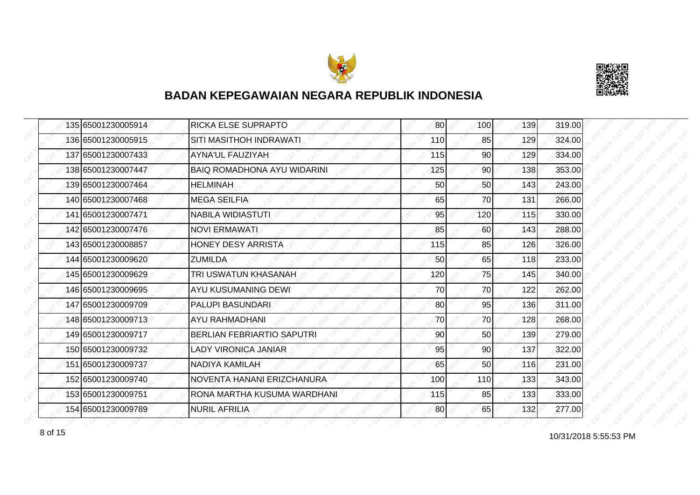



|  | 135 65001230005914 | <b>RICKA ELSE SUPRAPTO</b>         | 80  | 100 | 139 | 319.00 |
|--|--------------------|------------------------------------|-----|-----|-----|--------|
|  | 136 65001230005915 | SITI MASITHOH INDRAWATI            | 110 | 85  | 129 | 324.00 |
|  | 137 65001230007433 | <b>AYNA'UL FAUZIYAH</b>            | 115 | 90  | 129 | 334.00 |
|  | 138 65001230007447 | <b>BAIQ ROMADHONA AYU WIDARINI</b> | 125 | 90  | 138 | 353.00 |
|  | 139 65001230007464 | <b>HELMINAH</b>                    | 50  | 50  | 143 | 243.00 |
|  | 140 65001230007468 | <b>MEGA SEILFIA</b>                | 65  | 70  | 131 | 266.00 |
|  | 141 65001230007471 | <b>NABILA WIDIASTUTI</b>           | 95  | 120 | 115 | 330.00 |
|  | 142 65001230007476 | <b>NOVI ERMAWATI</b>               | 85  | 60  | 143 | 288.00 |
|  | 143 65001230008857 | <b>HONEY DESY ARRISTA</b>          | 115 | 85  | 126 | 326.00 |
|  | 144 65001230009620 | <b>ZUMILDA</b>                     | 50  | 65  | 118 | 233.00 |
|  | 145 65001230009629 | TRI USWATUN KHASANAH               | 120 | 75  | 145 | 340.00 |
|  | 146 65001230009695 | AYU KUSUMANING DEWI                | 70  | 70  | 122 | 262.00 |
|  | 147 65001230009709 | <b>PALUPI BASUNDARI</b>            | 80  | 95  | 136 | 311.00 |
|  | 148 65001230009713 | AYU RAHMADHANI                     | 70  | 70  | 128 | 268.00 |
|  | 149 65001230009717 | <b>BERLIAN FEBRIARTIO SAPUTRI</b>  | 90  | 50  | 139 | 279.00 |
|  | 150 65001230009732 | <b>LADY VIRONICA JANIAR</b>        | 95  | 90  | 137 | 322.00 |
|  | 151 65001230009737 | NADIYA KAMILAH                     | 65  | 50  | 116 | 231.00 |
|  | 152 65001230009740 | NOVENTA HANANI ERIZCHANURA         | 100 | 110 | 133 | 343.00 |
|  | 153 65001230009751 | RONA MARTHA KUSUMA WARDHANI        | 115 | 85  | 133 | 333.00 |
|  | 154 65001230009789 | <b>NURIL AFRILIA</b>               | 80  | 65  | 132 | 277.00 |

8 of 15 **10/31/2018** 5:55:53 PM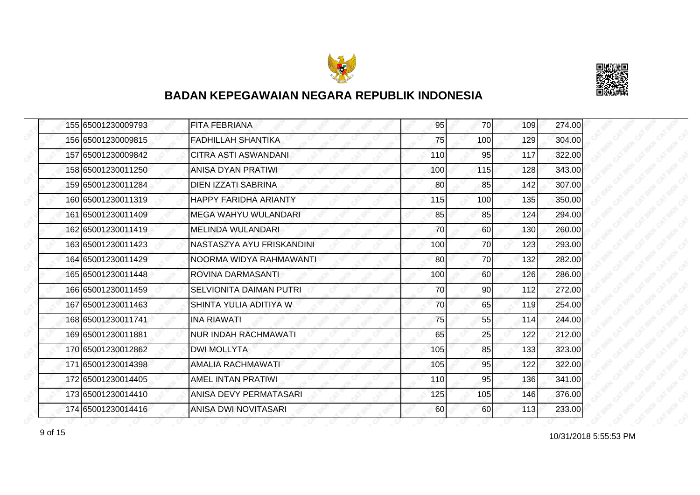



| 155 65001230009793 | <b>FITA FEBRIANA</b>           | 95  | <b>70</b> | 109 | 274.00 |
|--------------------|--------------------------------|-----|-----------|-----|--------|
| 156 65001230009815 | <b>FADHILLAH SHANTIKA</b>      | 75  | 100       | 129 | 304.00 |
| 157165001230009842 | CITRA ASTI ASWANDANI           | 110 | 95        | 117 | 322.00 |
| 158 65001230011250 | <b>ANISA DYAN PRATIWI</b>      | 100 | 115       | 128 | 343.00 |
| 159 65001230011284 | DIEN IZZATI SABRINA            | 80  | 85        | 142 | 307.00 |
| 160 65001230011319 | <b>HAPPY FARIDHA ARIANTY</b>   | 115 | 100       | 135 | 350.00 |
| 161 65001230011409 | MEGA WAHYU WULANDARI           | 85  | 85        | 124 | 294.00 |
| 162 65001230011419 | IMELINDA WULANDARI             | 70  | 60        | 130 | 260.00 |
| 163 65001230011423 | NASTASZYA AYU FRISKANDINI      | 100 | 70        | 123 | 293.00 |
| 164 65001230011429 | NOORMA WIDYA RAHMAWANTI        | 80  | 70        | 132 | 282.00 |
| 165165001230011448 | ROVINA DARMASANTI              | 100 | 60        | 126 | 286.00 |
| 166 65001230011459 | <b>SELVIONITA DAIMAN PUTRI</b> | 70  | 90        | 112 | 272.00 |
| 167 65001230011463 | SHINTA YULIA ADITIYA W         | 70  | 65        | 119 | 254.00 |
| 168 65001230011741 | <b>INA RIAWATI</b>             | 75  | 55        | 114 | 244.00 |
| 169 65001230011881 | <b>NUR INDAH RACHMAWATI</b>    | 65  | 25        | 122 | 212.00 |
| 170 65001230012862 | <b>DWI MOLLYTA</b>             | 105 | 85        | 133 | 323.00 |
| 171 65001230014398 | AMALIA RACHMAWATI              | 105 | 95        | 122 | 322.00 |
| 172 65001230014405 | AMEL INTAN PRATIWI             | 110 | 95        | 136 | 341.00 |
| 173 65001230014410 | ANISA DEVY PERMATASARI         | 125 | 105       | 146 | 376.00 |
| 174 65001230014416 | ANISA DWI NOVITASARI           | 60  | 60        | 113 | 233.00 |

10/31/2018 5:55:53 PM 9 of 15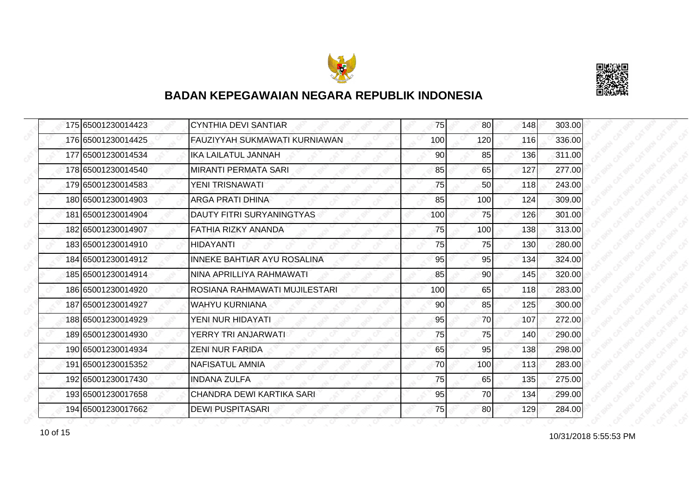



| 175 65001230014423 | <b>CYNTHIA DEVI SANTIAR</b>          | 75  | 80              | 148 | 303.00 |
|--------------------|--------------------------------------|-----|-----------------|-----|--------|
| 176 65001230014425 | <b>FAUZIYYAH SUKMAWATI KURNIAWAN</b> | 100 | 120             | 116 | 336.00 |
| 177 65001230014534 | IKA LAILATUL JANNAH                  | 90  | 85              | 136 | 311.00 |
| 178 65001230014540 | <b>MIRANTI PERMATA SARI</b>          | 85  | 65              | 127 | 277.00 |
| 179 65001230014583 | YENI TRISNAWATI                      | 75  | 50              | 118 | 243.00 |
| 180 65001230014903 | <b>ARGA PRATI DHINA</b>              | 85  | 100             | 124 | 309.00 |
| 181 65001230014904 | DAUTY FITRI SURYANINGTYAS            | 100 | 75I             | 126 | 301.00 |
| 182 65001230014907 | FATHIA RIZKY ANANDA                  | 75  | 100             | 138 | 313.00 |
| 183 65001230014910 | <b>HIDAYANTI</b>                     | 75  | 75              | 130 | 280.00 |
| 184 65001230014912 | <b>INNEKE BAHTIAR AYU ROSALINA</b>   | 95  | 95              | 134 | 324.00 |
| 185 65001230014914 | NINA APRILLIYA RAHMAWATI             | 85  | 90              | 145 | 320.00 |
| 186 65001230014920 | ROSIANA RAHMAWATI MUJILESTARI        | 100 | 65              | 118 | 283.00 |
| 187 65001230014927 | <b>WAHYU KURNIANA</b>                | 90  | 85              | 125 | 300.00 |
| 188 65001230014929 | YENI NUR HIDAYATI                    | 95  | 70              | 107 | 272.00 |
| 189 65001230014930 | YERRY TRI ANJARWATI                  | 75  | 75              | 140 | 290.00 |
| 190 65001230014934 | <b>ZENI NUR FARIDA</b>               | 65  | 95              | 138 | 298.00 |
| 191 65001230015352 | NAFISATUL AMNIA                      | 70  | 100             | 113 | 283.00 |
| 192 65001230017430 | <b>INDANA ZULFA</b>                  | 75  | 65              | 135 | 275.00 |
| 193 65001230017658 | CHANDRA DEWI KARTIKA SARI            | 95  | 70              | 134 | 299.00 |
| 194 65001230017662 | <b>DEWI PUSPITASARI</b>              | 75  | 80 <sup>1</sup> | 129 | 284.00 |

10/31/2018 5:55:53 PM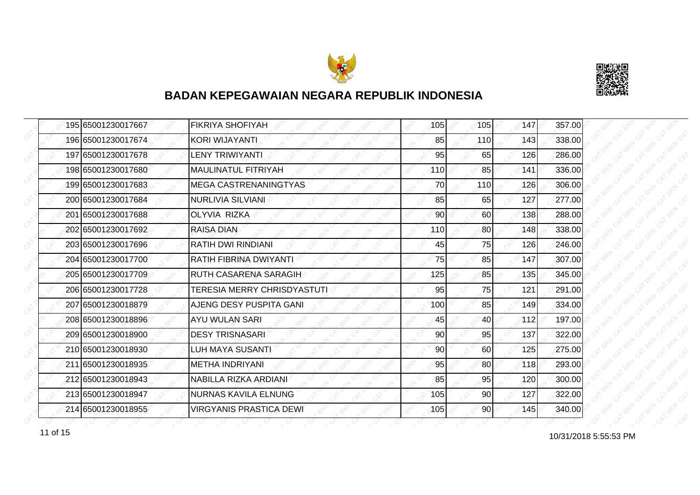



| 195 65001230017667 | <b>FIKRIYA SHOFIYAH</b>        | 105 | 105             | 147 | 357.00 |
|--------------------|--------------------------------|-----|-----------------|-----|--------|
| 196 65001230017674 | KORI WIJAYANTI                 | 85  | 110             | 143 | 338.00 |
| 197 65001230017678 | <b>LENY TRIWIYANTI</b>         | 95  | 65              | 126 | 286.00 |
| 198 65001230017680 | MAULINATUL FITRIYAH            | 110 | 85              | 141 | 336.00 |
| 199 65001230017683 | <b>MEGA CASTRENANINGTYAS</b>   | 70  | 110             | 126 | 306.00 |
| 200 65001230017684 | <b>NURLIVIA SILVIANI</b>       | 85  | 65              | 127 | 277.00 |
| 201 65001230017688 | <b>OLYVIA RIZKA</b>            | 90  | 60              | 138 | 288.00 |
| 202 65001230017692 | <b>RAISA DIAN</b>              | 110 | 80              | 148 | 338.00 |
| 203165001230017696 | <b>RATIH DWI RINDIANI</b>      | 45  | 75              | 126 | 246.00 |
| 204 65001230017700 | RATIH FIBRINA DWIYANTI         | 75  | 85              | 147 | 307.00 |
| 205 65001230017709 | <b>RUTH CASARENA SARAGIH</b>   | 125 | 85              | 135 | 345.00 |
| 206165001230017728 | TERESIA MERRY CHRISDYASTUTI    | 95  | 75              | 121 | 291.00 |
| 207 65001230018879 | AJENG DESY PUSPITA GANI        | 100 | 85              | 149 | 334.00 |
| 208 65001230018896 | <b>AYU WULAN SARI</b>          | 45  | 40              | 112 | 197.00 |
| 209 65001230018900 | <b>DESY TRISNASARI</b>         | 90  | 95              | 137 | 322.00 |
| 210 65001230018930 | <b>LUH MAYA SUSANTI</b>        | 90  | 60              | 125 | 275.00 |
| 211 65001230018935 | <b>METHA INDRIYANI</b>         | 95  | 80              | 118 | 293.00 |
| 212 65001230018943 | NABILLA RIZKA ARDIANI          | 85  | 95              | 120 | 300.00 |
| 213 65001230018947 | <b>NURNAS KAVILA ELNUNG</b>    | 105 | 90              | 127 | 322.00 |
| 214 65001230018955 | <b>VIRGYANIS PRASTICA DEWI</b> | 105 | 90 <sub>l</sub> | 145 | 340.00 |

11 of 15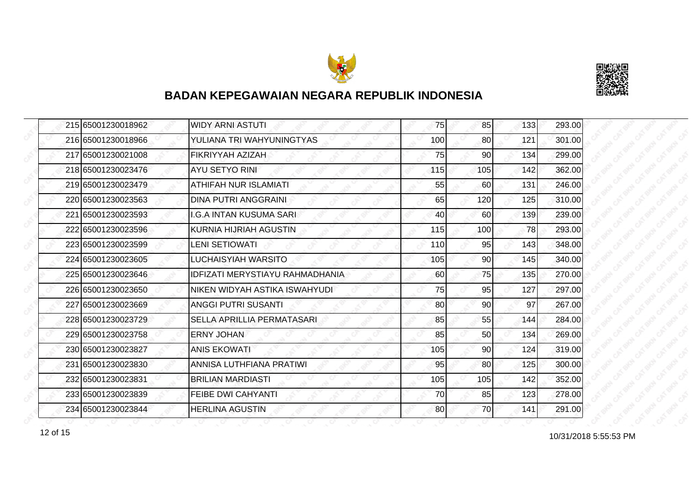



|  | 215 65001230018962 | WIDY ARNI ASTUTI                | 75  | 85              | 133 | 293.00 |
|--|--------------------|---------------------------------|-----|-----------------|-----|--------|
|  | 216 65001230018966 | YULIANA TRI WAHYUNINGTYAS       | 100 | 80              | 121 | 301.00 |
|  | 217 65001230021008 | FIKRIYYAH AZIZAH                | 75  | 90              | 134 | 299.00 |
|  | 218 65001230023476 | <b>AYU SETYO RINI</b>           | 115 | 105             | 142 | 362.00 |
|  | 219 65001230023479 | ATHIFAH NUR ISLAMIATI           | 55  | 60              | 131 | 246.00 |
|  | 220 65001230023563 | <b>DINA PUTRI ANGGRAINL</b>     | 65  | 120             | 125 | 310.00 |
|  | 221 65001230023593 | <b>I.G.A INTAN KUSUMA SARI</b>  | 40  | 60              | 139 | 239.00 |
|  | 222 65001230023596 | KURNIA HIJRIAH AGUSTIN          | 115 | 100             | 78  | 293.00 |
|  | 223 65001230023599 | <b>LENI SETIOWATI</b>           | 110 | 95              | 143 | 348.00 |
|  | 224 65001230023605 | <b>LUCHAISYIAH WARSITO</b>      | 105 | 90              | 145 | 340.00 |
|  | 225165001230023646 | IDFIZATI MERYSTIAYU RAHMADHANIA | 60  | 75              | 135 | 270.00 |
|  | 226 65001230023650 | NIKEN WIDYAH ASTIKA ISWAHYUDI   | 75  | 95              | 127 | 297.00 |
|  | 227 65001230023669 | <b>ANGGI PUTRI SUSANTI</b>      | 80  | 90 <sub>0</sub> | 97  | 267.00 |
|  | 228165001230023729 | SELLA APRILLIA PERMATASARI      | 85  | 55              | 144 | 284.00 |
|  | 229 65001230023758 | <b>ERNY JOHAN</b>               | 85  | 50              | 134 | 269.00 |
|  | 230 65001230023827 | <b>ANIS EKOWATI</b>             | 105 | 90              | 124 | 319.00 |
|  | 231 65001230023830 | ANNISA LUTHFIANA PRATIWI        | 95  | 80              | 125 | 300.00 |
|  | 232165001230023831 | <b>BRILIAN MARDIASTI</b>        | 105 | 105             | 142 | 352.00 |
|  | 233 65001230023839 | FEIBE DWI CAHYANTI              | 70  | 85              | 123 | 278.00 |
|  | 234 65001230023844 | <b>HERLINA AGUSTIN</b>          | 80  | 70              | 141 | 291.00 |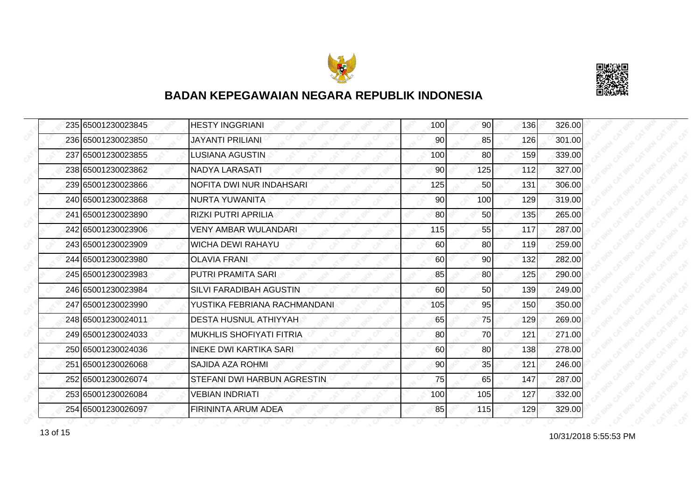



| 235 65001230023845 | <b>HESTY INGGRIANI</b>          | 100 | 90 <sub>l</sub> | 136 | 326.00 |
|--------------------|---------------------------------|-----|-----------------|-----|--------|
| 236 65001230023850 | <b>JAYANTI PRILIANI</b>         | 90  | 85              | 126 | 301.00 |
| 237 65001230023855 | LUSIANA AGUSTIN                 | 100 | 80              | 159 | 339.00 |
| 238 65001230023862 | <b>NADYA LARASATI</b>           | 90  | 125             | 112 | 327.00 |
| 239 65001230023866 | NOFITA DWI NUR INDAHSARI        | 125 | 50              | 131 | 306.00 |
| 240 65001230023868 | NURTA YUWANITA                  | 90  | 100             | 129 | 319.00 |
| 241 65001230023890 | <b>RIZKI PUTRI APRILIA</b>      | 80  | 50              | 135 | 265.00 |
| 242 65001230023906 | <b>VENY AMBAR WULANDARI</b>     | 115 | 55              | 117 | 287.00 |
| 243 65001230023909 | <b>WICHA DEWI RAHAYU</b>        | 60  | 80              | 119 | 259.00 |
| 244 65001230023980 | <b>OLAVIA FRANI</b>             | 60  | 90              | 132 | 282.00 |
| 245 65001230023983 | PUTRI PRAMITA SARI              | 85  | 80              | 125 | 290.00 |
| 246 65001230023984 | <b>SILVI FARADIBAH AGUSTIN</b>  | 60  | 50              | 139 | 249.00 |
| 247 65001230023990 | YUSTIKA FEBRIANA RACHMANDANI.   | 105 | 95              | 150 | 350.00 |
| 248 65001230024011 | DESTA HUSNUL ATHIYYAH           | 65  | 75              | 129 | 269.00 |
| 249 65001230024033 | <b>MUKHLIS SHOFIYATI FITRIA</b> | 80  | 70              | 121 | 271.00 |
| 250 65001230024036 | <b>INEKE DWI KARTIKA SARI</b>   | 60  | 80              | 138 | 278.00 |
| 251 65001230026068 | SAJIDA AZA ROHMI                | 90  | 35              | 121 | 246.00 |
| 252 65001230026074 | STEFANI DWI HARBUN AGRESTIN     | 75  | 65              | 147 | 287.00 |
| 253 65001230026084 | <b>VEBIAN INDRIATI</b>          | 100 | 105             | 127 | 332.00 |
| 254 65001230026097 | FIRININTA ARUM ADEA             | 85  | 115             | 129 | 329.00 |

10/31/2018 5:55:53 PM 13 of 15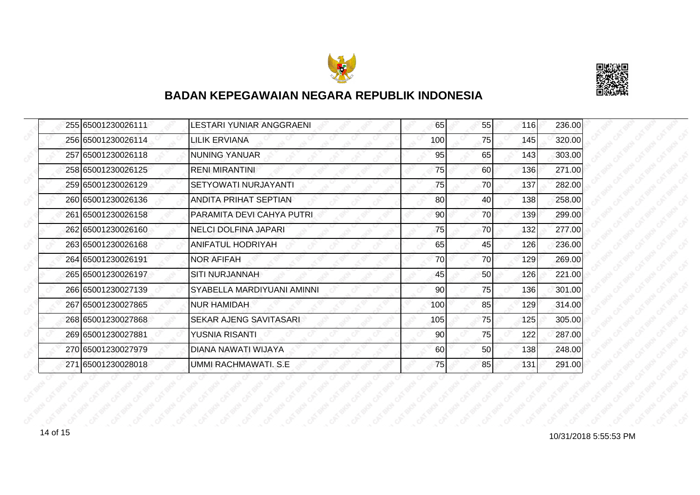



|  | 255 65001230026111 | LESTARI YUNIAR ANGGRAENI     | 65  | 55  | 116 | 236.00 |
|--|--------------------|------------------------------|-----|-----|-----|--------|
|  | 256 65001230026114 | LILIK ERVIANA                | 100 | 75  | 145 | 320.00 |
|  | 257 65001230026118 | <b>NUNING YANUAR</b>         | 95  | 65  | 143 | 303.00 |
|  | 258 65001230026125 | <b>RENI MIRANTINI</b>        | 75  | 60  | 136 | 271.00 |
|  | 259 65001230026129 | SETYOWATI NURJAYANTI         | 75  | 70I | 137 | 282.00 |
|  | 260 65001230026136 | <b>ANDITA PRIHAT SEPTIAN</b> | 80  | 40  | 138 | 258.00 |
|  | 261 65001230026158 | PARAMITA DEVI CAHYA PUTRI    | 90  | 70I | 139 | 299.00 |
|  | 262 65001230026160 | <b>NELCI DOLFINA JAPARI</b>  | 75  | 70  | 132 | 277.00 |
|  | 263 65001230026168 | ANIFATUL HODRIYAH            | 65  | 45  | 126 | 236.00 |
|  | 264 65001230026191 | <b>NOR AFIFAH</b>            | 70  | 70  | 129 | 269.00 |
|  | 265 65001230026197 | <b>SITI NURJANNAH</b>        | 45  | 50  | 126 | 221.00 |
|  | 266 65001230027139 | SYABELLA MARDIYUANI AMINNI   | 90  | 75  | 136 | 301.00 |
|  | 267 65001230027865 | <b>NUR HAMIDAH</b>           | 100 | 85  | 129 | 314.00 |
|  | 268 65001230027868 | SEKAR AJENG SAVITASARI       | 105 | 75  | 125 | 305.00 |
|  | 269 65001230027881 | YUSNIA RISANTI               | 90  | 75  | 122 | 287.00 |
|  | 270 65001230027979 | DIANA NAWATI WIJAYA          | 60  | 50  | 138 | 248.00 |
|  | 271 65001230028018 | UMMI RACHMAWATI. S.E         | 75  | 85  | 131 | 291.00 |